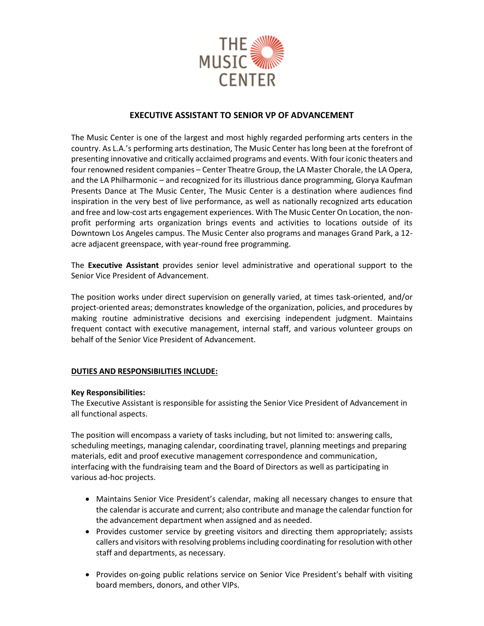

# **EXECUTIVE ASSISTANT TO SENIOR VP OF ADVANCEMENT**

The Music Center is one of the largest and most highly regarded performing arts centers in the country. As L.A.'s performing arts destination, The Music Center has long been at the forefront of presenting innovative and critically acclaimed programs and events. With four iconic theaters and four renowned resident companies – Center Theatre Group, the LA Master Chorale, the LA Opera, and the LA Philharmonic – and recognized for its illustrious dance programming, Glorya Kaufman Presents Dance at The Music Center, The Music Center is a destination where audiences find inspiration in the very best of live performance, as well as nationally recognized arts education and free and low-cost arts engagement experiences. With The Music Center On Location, the nonprofit performing arts organization brings events and activities to locations outside of its Downtown Los Angeles campus. The Music Center also programs and manages Grand Park, a 12 acre adjacent greenspace, with year-round free programming.

The **Executive Assistant** provides senior level administrative and operational support to the Senior Vice President of Advancement.

The position works under direct supervision on generally varied, at times task-oriented, and/or project-oriented areas; demonstrates knowledge of the organization, policies, and procedures by making routine administrative decisions and exercising independent judgment. Maintains frequent contact with executive management, internal staff, and various volunteer groups on behalf of the Senior Vice President of Advancement.

## **DUTIES AND RESPONSIBILITIES INCLUDE:**

## **Key Responsibilities:**

The Executive Assistant is responsible for assisting the Senior Vice President of Advancement in all functional aspects.

The position will encompass a variety of tasks including, but not limited to: answering calls, scheduling meetings, managing calendar, coordinating travel, planning meetings and preparing materials, edit and proof executive management correspondence and communication, interfacing with the fundraising team and the Board of Directors as well as participating in various ad-hoc projects.

- Maintains Senior Vice President's calendar, making all necessary changes to ensure that the calendar is accurate and current; also contribute and manage the calendar function for the advancement department when assigned and as needed.
- Provides customer service by greeting visitors and directing them appropriately; assists callers and visitors with resolving problems including coordinating for resolution with other staff and departments, as necessary.
- Provides on-going public relations service on Senior Vice President's behalf with visiting board members, donors, and other VIPs.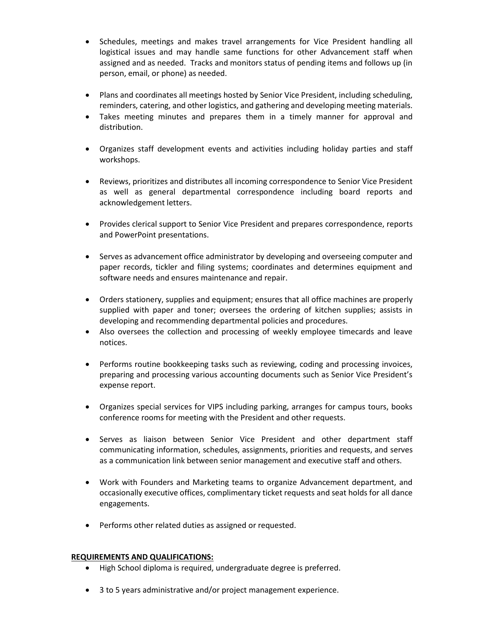- Schedules, meetings and makes travel arrangements for Vice President handling all logistical issues and may handle same functions for other Advancement staff when assigned and as needed. Tracks and monitors status of pending items and follows up (in person, email, or phone) as needed.
- Plans and coordinates all meetings hosted by Senior Vice President, including scheduling, reminders, catering, and other logistics, and gathering and developing meeting materials.
- Takes meeting minutes and prepares them in a timely manner for approval and distribution.
- Organizes staff development events and activities including holiday parties and staff workshops.
- Reviews, prioritizes and distributes all incoming correspondence to Senior Vice President as well as general departmental correspondence including board reports and acknowledgement letters.
- Provides clerical support to Senior Vice President and prepares correspondence, reports and PowerPoint presentations.
- Serves as advancement office administrator by developing and overseeing computer and paper records, tickler and filing systems; coordinates and determines equipment and software needs and ensures maintenance and repair.
- Orders stationery, supplies and equipment; ensures that all office machines are properly supplied with paper and toner; oversees the ordering of kitchen supplies; assists in developing and recommending departmental policies and procedures.
- Also oversees the collection and processing of weekly employee timecards and leave notices.
- Performs routine bookkeeping tasks such as reviewing, coding and processing invoices, preparing and processing various accounting documents such as Senior Vice President's expense report.
- Organizes special services for VIPS including parking, arranges for campus tours, books conference rooms for meeting with the President and other requests.
- Serves as liaison between Senior Vice President and other department staff communicating information, schedules, assignments, priorities and requests, and serves as a communication link between senior management and executive staff and others.
- Work with Founders and Marketing teams to organize Advancement department, and occasionally executive offices, complimentary ticket requests and seat holds for all dance engagements.
- Performs other related duties as assigned or requested.

## **REQUIREMENTS AND QUALIFICATIONS:**

- High School diploma is required, undergraduate degree is preferred.
- 3 to 5 years administrative and/or project management experience.